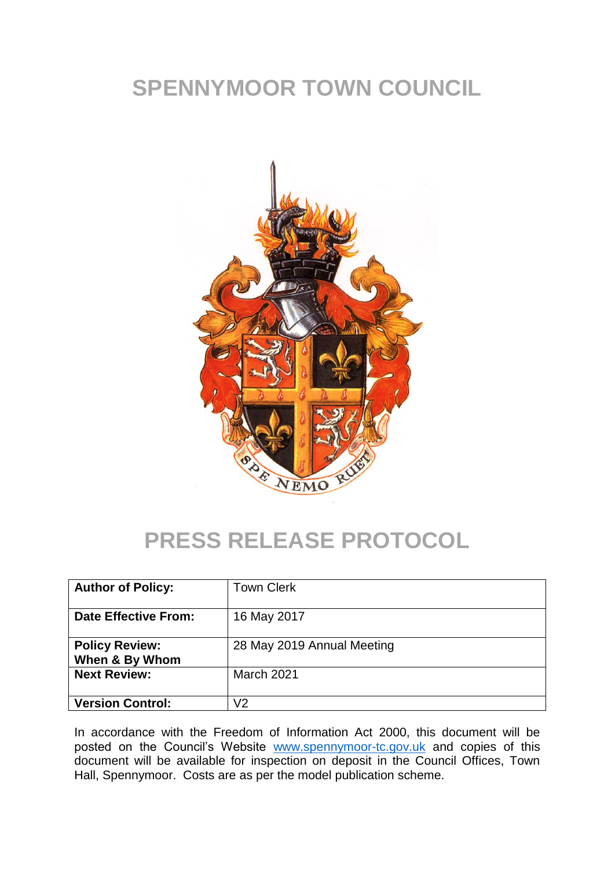# **SPENNYMOOR TOWN COUNCIL**



## **PRESS RELEASE PROTOCOL**

| <b>Author of Policy:</b>                | <b>Town Clerk</b>          |
|-----------------------------------------|----------------------------|
| <b>Date Effective From:</b>             | 16 May 2017                |
| <b>Policy Review:</b><br>When & By Whom | 28 May 2019 Annual Meeting |
| <b>Next Review:</b>                     | March 2021                 |
| <b>Version Control:</b>                 | V2                         |

In accordance with the Freedom of Information Act 2000, this document will be posted on the Council's Website [www.spennymoor-tc.gov.uk](http://www.spennymoor-tc.gov.uk/) and copies of this document will be available for inspection on deposit in the Council Offices, Town Hall, Spennymoor. Costs are as per the model publication scheme.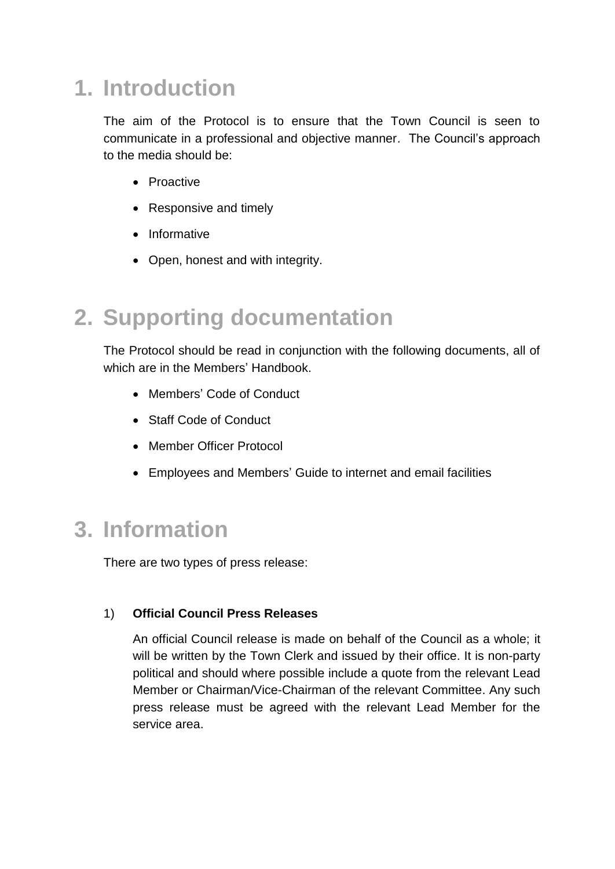# **1. Introduction**

The aim of the Protocol is to ensure that the Town Council is seen to communicate in a professional and objective manner. The Council's approach to the media should be:

- Proactive
- Responsive and timely
- Informative
- Open, honest and with integrity.

### **2. Supporting documentation**

The Protocol should be read in conjunction with the following documents, all of which are in the Members' Handbook.

- Members' Code of Conduct
- Staff Code of Conduct
- Member Officer Protocol
- Employees and Members' Guide to internet and email facilities

### **3. Information**

There are two types of press release:

#### 1) **Official Council Press Releases**

An official Council release is made on behalf of the Council as a whole; it will be written by the Town Clerk and issued by their office. It is non-party political and should where possible include a quote from the relevant Lead Member or Chairman/Vice-Chairman of the relevant Committee. Any such press release must be agreed with the relevant Lead Member for the service area.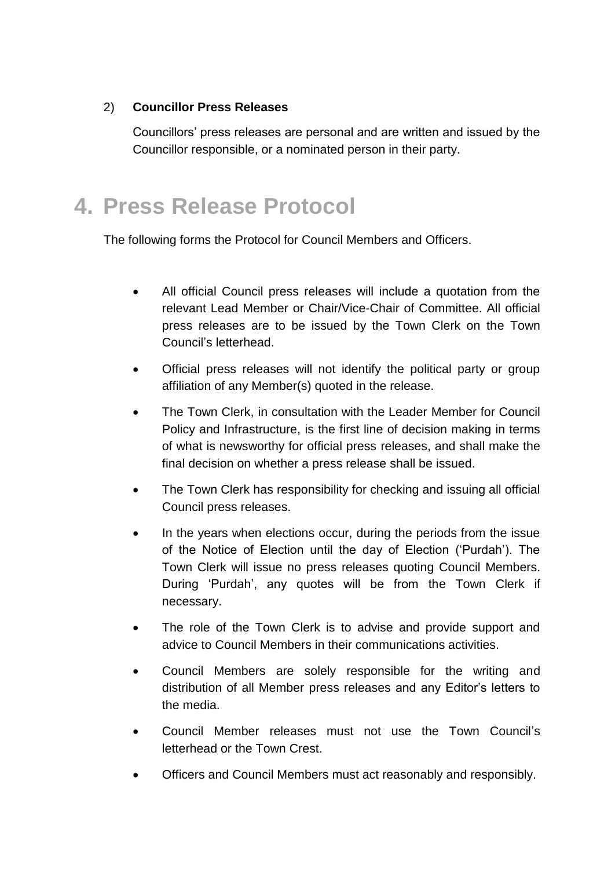#### 2) **Councillor Press Releases**

Councillors' press releases are personal and are written and issued by the Councillor responsible, or a nominated person in their party.

## **4. Press Release Protocol**

The following forms the Protocol for Council Members and Officers.

- All official Council press releases will include a quotation from the relevant Lead Member or Chair/Vice-Chair of Committee. All official press releases are to be issued by the Town Clerk on the Town Council's letterhead.
- Official press releases will not identify the political party or group affiliation of any Member(s) quoted in the release.
- The Town Clerk, in consultation with the Leader Member for Council Policy and Infrastructure, is the first line of decision making in terms of what is newsworthy for official press releases, and shall make the final decision on whether a press release shall be issued.
- The Town Clerk has responsibility for checking and issuing all official Council press releases.
- In the years when elections occur, during the periods from the issue of the Notice of Election until the day of Election ('Purdah'). The Town Clerk will issue no press releases quoting Council Members. During 'Purdah', any quotes will be from the Town Clerk if necessary.
- The role of the Town Clerk is to advise and provide support and advice to Council Members in their communications activities.
- Council Members are solely responsible for the writing and distribution of all Member press releases and any Editor's letters to the media.
- Council Member releases must not use the Town Council's letterhead or the Town Crest.
- Officers and Council Members must act reasonably and responsibly.